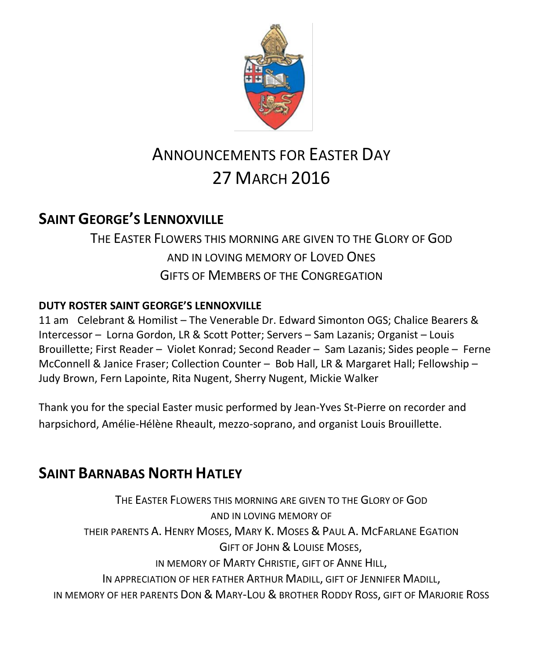

# ANNOUNCEMENTS FOR EASTER DAY 27 MARCH 2016

# **SAINT GEORGE'S LENNOXVILLE**

THE EASTER FLOWERS THIS MORNING ARE GIVEN TO THE GLORY OF GOD AND IN LOVING MEMORY OF LOVED ONES GIFTS OF MEMBERS OF THE CONGREGATION

### **DUTY ROSTER SAINT GEORGE'S LENNOXVILLE**

11 am Celebrant & Homilist – The Venerable Dr. Edward Simonton OGS; Chalice Bearers & Intercessor – Lorna Gordon, LR & Scott Potter; Servers – Sam Lazanis; Organist – Louis Brouillette; First Reader – Violet Konrad; Second Reader – Sam Lazanis; Sides people – Ferne McConnell & Janice Fraser; Collection Counter – Bob Hall, LR & Margaret Hall; Fellowship – Judy Brown, Fern Lapointe, Rita Nugent, Sherry Nugent, Mickie Walker

Thank you for the special Easter music performed by Jean-Yves St-Pierre on recorder and harpsichord, Amélie-Hélène Rheault, mezzo-soprano, and organist Louis Brouillette.

# **SAINT BARNABAS NORTH HATLEY**

THE EASTER FLOWERS THIS MORNING ARE GIVEN TO THE GLORY OF GOD AND IN LOVING MEMORY OF THEIR PARENTS A. HENRY MOSES, MARY K. MOSES & PAUL A. MCFARLANE EGATION GIFT OF JOHN & LOUISE MOSES, IN MEMORY OF MARTY CHRISTIE, GIFT OF ANNE HILL, IN APPRECIATION OF HER FATHER ARTHUR MADILL, GIFT OF JENNIFER MADILL, IN MEMORY OF HER PARENTS DON & MARY-LOU & BROTHER RODDY ROSS, GIFT OF MARJORIE ROSS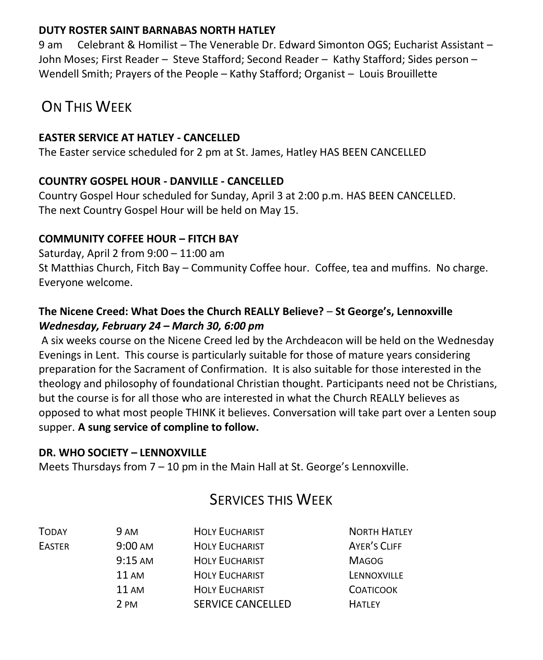### **DUTY ROSTER SAINT BARNABAS NORTH HATLEY**

9 am Celebrant & Homilist – The Venerable Dr. Edward Simonton OGS; Eucharist Assistant – John Moses; First Reader – Steve Stafford; Second Reader – Kathy Stafford; Sides person – Wendell Smith; Prayers of the People – Kathy Stafford; Organist – Louis Brouillette

### ON THIS WFFK

### **EASTER SERVICE AT HATLEY - CANCELLED**

The Easter service scheduled for 2 pm at St. James, Hatley HAS BEEN CANCELLED

### **COUNTRY GOSPEL HOUR - DANVILLE - CANCELLED**

Country Gospel Hour scheduled for Sunday, April 3 at 2:00 p.m. HAS BEEN CANCELLED. The next Country Gospel Hour will be held on May 15.

### **COMMUNITY COFFEE HOUR – FITCH BAY**

Saturday, April 2 from 9:00 – 11:00 am St Matthias Church, Fitch Bay – Community Coffee hour. Coffee, tea and muffins. No charge. Everyone welcome.

### **The Nicene Creed: What Does the Church REALLY Believe?** – **St George's, Lennoxville** *Wednesday, February 24 – March 30, 6:00 pm*

A six weeks course on the Nicene Creed led by the Archdeacon will be held on the Wednesday Evenings in Lent. This course is particularly suitable for those of mature years considering preparation for the Sacrament of Confirmation. It is also suitable for those interested in the theology and philosophy of foundational Christian thought. Participants need not be Christians, but the course is for all those who are interested in what the Church REALLY believes as opposed to what most people THINK it believes. Conversation will take part over a Lenten soup supper. **A sung service of compline to follow.**

### **DR. WHO SOCIETY – LENNOXVILLE**

Meets Thursdays from 7 – 10 pm in the Main Hall at St. George's Lennoxville.

### SERVICES THIS WEEK

| <b>TODAY</b>  | 9 AM              | <b>HOLY EUCHARIST</b>    | <b>NORTH HATLEY</b> |
|---------------|-------------------|--------------------------|---------------------|
| <b>EASTER</b> | 9:00 AM           | <b>HOLY EUCHARIST</b>    | AYER'S CLIFF        |
|               | $9:15 \text{ AM}$ | <b>HOLY EUCHARIST</b>    | <b>MAGOG</b>        |
|               | <b>11 AM</b>      | <b>HOLY EUCHARIST</b>    | LENNOXVILLE         |
|               | 11 AM             | <b>HOLY EUCHARIST</b>    | <b>COATICOOK</b>    |
|               | 2 PM              | <b>SERVICE CANCELLED</b> | <b>HATIFY</b>       |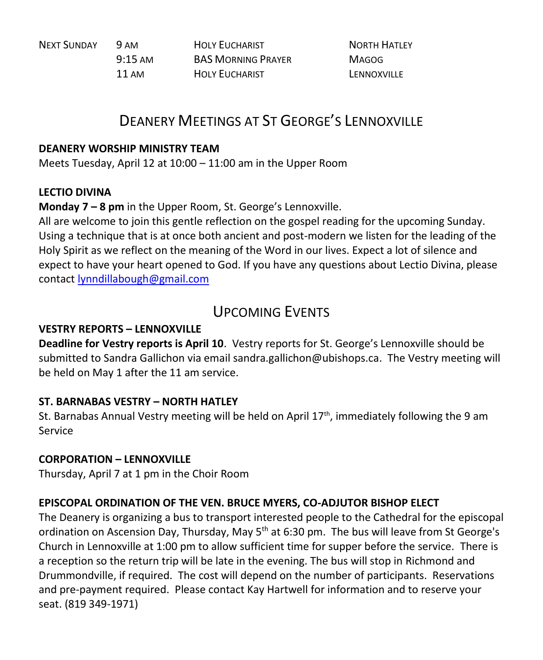NEXT SUNDAY 9 AM HOLY EUCHARIST NORTH HATLEY

9:15 AM BAS MORNING PRAYER MAGOG 11 AM HOLY FUCHARIST LENNOXVILLE

# DEANERY MEETINGS AT ST GEORGE'S LENNOXVILLE

#### **DEANERY WORSHIP MINISTRY TEAM**

Meets Tuesday, April 12 at 10:00 – 11:00 am in the Upper Room

### **LECTIO DIVINA**

**Monday 7 – 8 pm** in the Upper Room, St. George's Lennoxville.

All are welcome to join this gentle reflection on the gospel reading for the upcoming Sunday. Using a technique that is at once both ancient and post-modern we listen for the leading of the Holy Spirit as we reflect on the meaning of the Word in our lives. Expect a lot of silence and expect to have your heart opened to God. If you have any questions about Lectio Divina, please contact [lynndillabough@gmail.com](https://webmail.ubishops.ca/owa/redir.aspx?SURL=m9aXLlASBwoWC_8vgLaaljB6q1Irl87Fn9_UzoSznfVlv4HNbE7TCG0AYQBpAGwAdABvADoAbAB5AG4AbgBkAGkAbABsAGEAYgBvAHUAZwBoAEAAZwBtAGEAaQBsAC4AYwBvAG0A&URL=mailto%3alynndillabough%40gmail.com)

### UPCOMING EVENTS

### **VESTRY REPORTS – LENNOXVILLE**

**Deadline for Vestry reports is April 10**. Vestry reports for St. George's Lennoxville should be submitted to Sandra Gallichon via email sandra.gallichon@ubishops.ca. The Vestry meeting will be held on May 1 after the 11 am service.

### **ST. BARNABAS VESTRY – NORTH HATLEY**

St. Barnabas Annual Vestry meeting will be held on April  $17<sup>th</sup>$ , immediately following the 9 am Service

### **CORPORATION – LENNOXVILLE**

Thursday, April 7 at 1 pm in the Choir Room

### **EPISCOPAL ORDINATION OF THE VEN. BRUCE MYERS, CO-ADJUTOR BISHOP ELECT**

The Deanery is organizing a bus to transport interested people to the Cathedral for the episcopal ordination on Ascension Day, Thursday, May  $5<sup>th</sup>$  at 6:30 pm. The bus will leave from St George's Church in Lennoxville at 1:00 pm to allow sufficient time for supper before the service. There is a reception so the return trip will be late in the evening. The bus will stop in Richmond and Drummondville, if required. The cost will depend on the number of participants. Reservations and pre-payment required. Please contact Kay Hartwell for information and to reserve your seat. (819 349-1971)